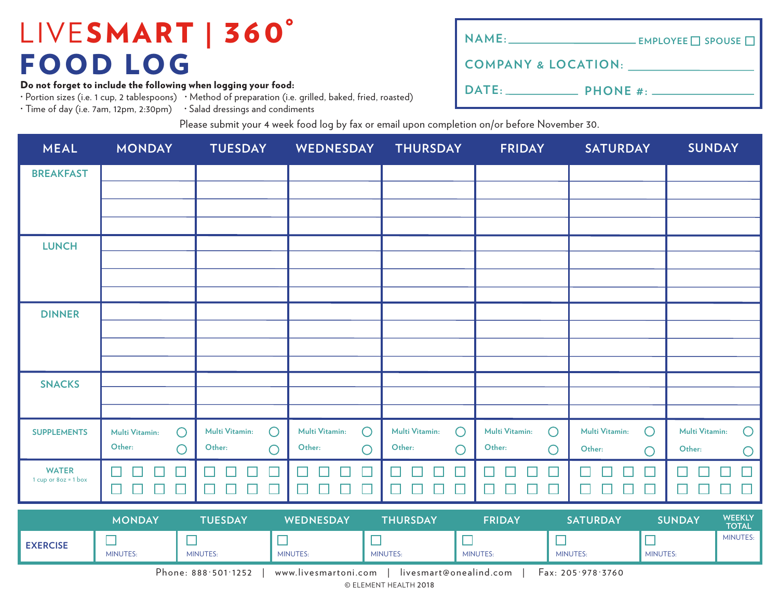Do not forget to include the following when logging your food:

· Portion sizes (i.e. 1 cup, 2 tablespoons) · Method of preparation (i.e. grilled, baked, fried, roasted)

· Time of day (i.e. 7am, 12pm, 2:30pm) · Salad dressings and condiments

| NAME: __________________________________ EMPLOYEE □ SPOUSE □ |  |
|--------------------------------------------------------------|--|
| <b>COMPANY &amp; LOCATION:</b>                               |  |
|                                                              |  |

Please submit your 4 week food log by fax or email upon completion on/or before November 30.

| <b>MEAL</b>                            | <b>MONDAY</b>                                                | <b>TUESDAY</b>               | <b>WEDNESDAY</b>             | <b>THURSDAY</b>               | <b>FRIDAY</b>                   | <b>SATURDAY</b>                            | <b>SUNDAY</b>                |
|----------------------------------------|--------------------------------------------------------------|------------------------------|------------------------------|-------------------------------|---------------------------------|--------------------------------------------|------------------------------|
| <b>BREAKFAST</b>                       |                                                              |                              |                              |                               |                                 |                                            |                              |
|                                        |                                                              |                              |                              |                               |                                 |                                            |                              |
|                                        |                                                              |                              |                              |                               |                                 |                                            |                              |
| <b>LUNCH</b>                           |                                                              |                              |                              |                               |                                 |                                            |                              |
|                                        |                                                              |                              |                              |                               |                                 |                                            |                              |
|                                        |                                                              |                              |                              |                               |                                 |                                            |                              |
| <b>DINNER</b>                          |                                                              |                              |                              |                               |                                 |                                            |                              |
|                                        |                                                              |                              |                              |                               |                                 |                                            |                              |
|                                        |                                                              |                              |                              |                               |                                 |                                            |                              |
| <b>SNACKS</b>                          |                                                              |                              |                              |                               |                                 |                                            |                              |
|                                        |                                                              |                              |                              |                               |                                 |                                            |                              |
| <b>SUPPLEMENTS</b>                     | $\bigcirc$<br>Multi Vitamin:                                 | Multi Vitamin:<br>$\bigcirc$ | Multi Vitamin:<br>$\bigcirc$ | Multi Vitamin:<br>$\bigcirc$  | $\bigcirc$<br>Multi Vitamin:    | $\bigcirc$<br><b>Multi Vitamin:</b>        | Multi Vitamin:<br>$\bigcirc$ |
|                                        | Other:<br>$\bigcirc$                                         | Other:<br>$\bigcirc$         | Other:<br>$\bigcirc$         | Other:<br>$\bigcirc$          | Other:<br>$\bigcirc$            | Other:<br>$\bigcirc$                       | Other:<br>O                  |
| <b>WATER</b><br>1 cup or $8oz = 1 box$ |                                                              |                              |                              |                               |                                 |                                            |                              |
|                                        | $\Box$<br>$\mathcal{L}_{\mathcal{A}}$<br>$\blacksquare$<br>⊔ | $\Box$<br>$\Box$<br>$\Box$   | - 1<br>$\Box$<br>H           | $\Box$<br>$\mathbb{Z}^2$<br>Ш | $\Box$<br>$\Box$<br>$\Box$<br>H | □<br>$\mathcal{L}_{\mathcal{A}}$<br>H<br>H | M.<br>Ш<br>$\mathbf{1}$      |
|                                        | <b>MONDAY</b>                                                | <b>TUESDAY</b>               | WEDNESDAY                    | <b>THURSDAY</b>               | <b>FRIDAY</b>                   | <b>SATURDAY</b>                            | WEEKLY<br><b>SUNDAY</b>      |

|                 | <b>MONDAY</b>   | TUESDAY             | WEDNESDAY            | <b>THURSDAY</b> | <b>FRIDAY</b>          | <b>SATURDAY</b>   | <b>SUNDAY</b> | <b>WEENLI</b><br><b>TOTAL</b> |
|-----------------|-----------------|---------------------|----------------------|-----------------|------------------------|-------------------|---------------|-------------------------------|
| <b>EXERCISE</b> | <b>MINUTES:</b> | MINUTES:            | <b>MINUTES:</b>      | <b>MINUTES:</b> | <b>MINUTES:</b>        | <b>MINUTES:</b>   | MINUTES:      | <b>MINUTES:</b>               |
|                 |                 | Phone: 888:501:1252 | www.livesmartoni.com |                 | livesmart@onealind.com | Fax: 205.978.3760 |               |                               |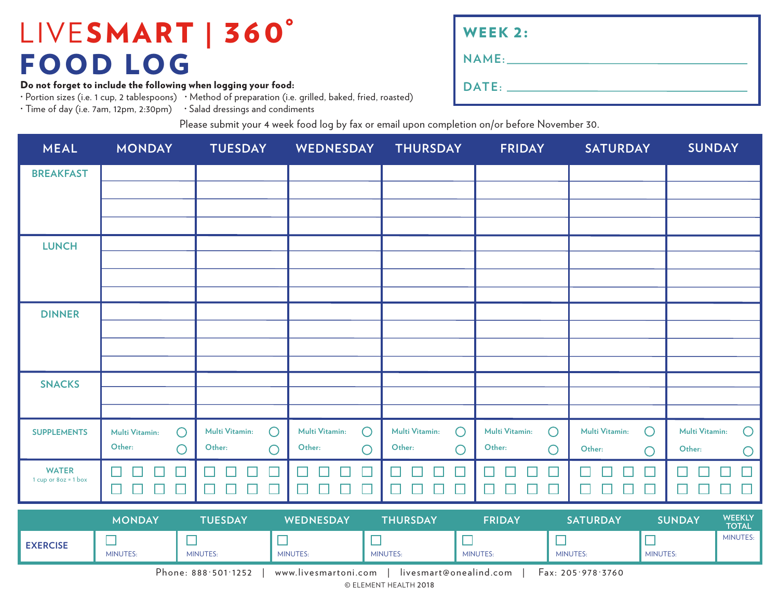Do not forget to include the following when logging your food:

· Portion sizes (i.e. 1 cup, 2 tablespoons) · Method of preparation (i.e. grilled, baked, fried, roasted)

· Time of day (i.e. 7am, 12pm, 2:30pm) · Salad dressings and condiments

| <b>WEEK 2:</b> |  |
|----------------|--|
|                |  |
|                |  |

Please submit your 4 week food log by fax or email upon completion on/or before November 30.

| <b>MEAL</b>                            | <b>MONDAY</b>                | <b>TUESDAY</b>               | WEDNESDAY                    | <b>THURSDAY</b>                       | <b>FRIDAY</b>                | <b>SATURDAY</b>                 | <b>SUNDAY</b>                                  |
|----------------------------------------|------------------------------|------------------------------|------------------------------|---------------------------------------|------------------------------|---------------------------------|------------------------------------------------|
| <b>BREAKFAST</b>                       |                              |                              |                              |                                       |                              |                                 |                                                |
|                                        |                              |                              |                              |                                       |                              |                                 |                                                |
|                                        |                              |                              |                              |                                       |                              |                                 |                                                |
| <b>LUNCH</b>                           |                              |                              |                              |                                       |                              |                                 |                                                |
|                                        |                              |                              |                              |                                       |                              |                                 |                                                |
|                                        |                              |                              |                              |                                       |                              |                                 |                                                |
| <b>DINNER</b>                          |                              |                              |                              |                                       |                              |                                 |                                                |
|                                        |                              |                              |                              |                                       |                              |                                 |                                                |
|                                        |                              |                              |                              |                                       |                              |                                 |                                                |
| <b>SNACKS</b>                          |                              |                              |                              |                                       |                              |                                 |                                                |
|                                        |                              |                              |                              |                                       |                              |                                 |                                                |
| <b>SUPPLEMENTS</b>                     | $\bigcirc$<br>Multi Vitamin: | $\bigcirc$<br>Multi Vitamin: | Multi Vitamin:<br>$\bigcirc$ | Multi Vitamin:<br>$\bigcirc$          | $\bigcirc$<br>Multi Vitamin: | $\bigcirc$<br>Multi Vitamin:    | Multi Vitamin:<br>$\bigcirc$                   |
|                                        | Other:<br>$\bigcirc$         | Other:<br>$\bigcirc$         | Other:<br>$\bigcirc$         | Other:<br>$\bigcirc$                  | Other:<br>$\bigcirc$         | Other:<br>$\bigcirc$            | Other:<br>$\bigcirc$                           |
| <b>WATER</b><br>1 cup or $8oz = 1 box$ | H<br>$\Box$<br>$\Box$<br>┙   | $\Box$<br>$\Box$<br>$\Box$   | $\Box$<br>$\Box$<br>- 1      | $\mathbf{I}$<br>$\Box$<br>$\Box$<br>┙ | $\Box$<br>$\Box$<br>$\Box$   | H<br>$\Box$<br>$\Box$<br>$\Box$ | $\Box$<br>Ш                                    |
|                                        |                              |                              |                              |                                       |                              | ⊔                               |                                                |
|                                        | <b>MONDAY</b>                | <b>TUESDAY</b>               | WEDNESDAY                    | <b>THURSDAY</b>                       | <b>FRIDAY</b>                | <b>SATURDAY</b>                 | <b>WEEKLY</b><br><b>SUNDAY</b><br><b>TOTAL</b> |

|                 | <b>MONDAY</b>   | JESDAY                | <b>WEDNESDAY</b>     | THURSDAY        | FRIDAY                 | <b>SATURDAY</b>             | <b>SUNDAY</b> | WEENED<br><b>TOTAL</b> |
|-----------------|-----------------|-----------------------|----------------------|-----------------|------------------------|-----------------------------|---------------|------------------------|
| <b>EXERCISE</b> | <b>MINUTES:</b> | MINUTES:              | <b>MINUTES:</b>      | <b>MINUTES:</b> | <b>MINUTES:</b>        | <b>MINUTES:</b>             | MINUTES:      | <b>MINUTES:</b>        |
|                 |                 | Phone: $888.501.1252$ | www.livesmartoni.com |                 | livesmart@onealind.com | $\text{Fax: } 205.978.3760$ |               |                        |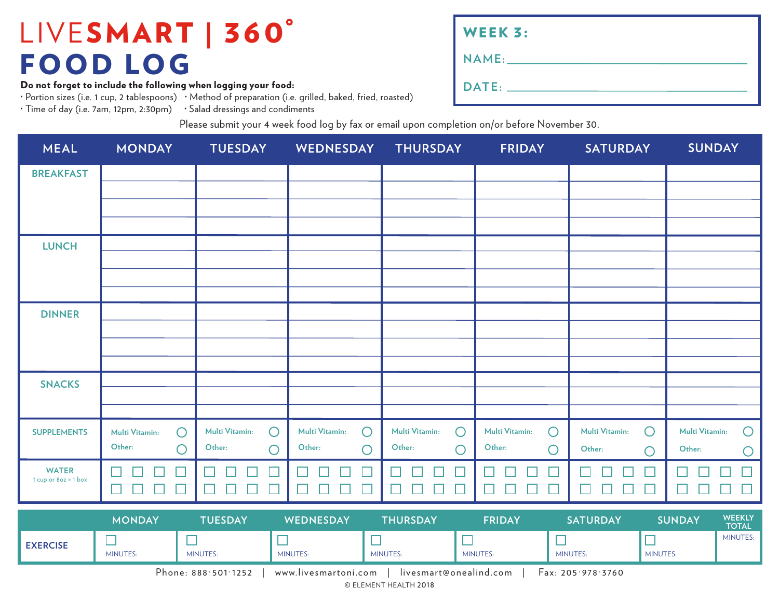Do not forget to include the following when logging your food:

· Portion sizes (i.e. 1 cup, 2 tablespoons) · Method of preparation (i.e. grilled, baked, fried, roasted)

· Time of day (i.e. 7am, 12pm, 2:30pm) · Salad dressings and condiments

| WEEK 3: |
|---------|
| NAME:   |
| DATE:   |

Please submit your 4 week food log by fax or email upon completion on/or before November 30.

| <b>MEAL</b>                            | <b>MONDAY</b>                          | <b>TUESDAY</b>                                | WEDNESDAY                              | <b>THURSDAY</b>                                  | <b>FRIDAY</b>                          | <b>SATURDAY</b>              | <b>SUNDAY</b>                      |
|----------------------------------------|----------------------------------------|-----------------------------------------------|----------------------------------------|--------------------------------------------------|----------------------------------------|------------------------------|------------------------------------|
| <b>BREAKFAST</b>                       |                                        |                                               |                                        |                                                  |                                        |                              |                                    |
|                                        |                                        |                                               |                                        |                                                  |                                        |                              |                                    |
|                                        |                                        |                                               |                                        |                                                  |                                        |                              |                                    |
| <b>LUNCH</b>                           |                                        |                                               |                                        |                                                  |                                        |                              |                                    |
|                                        |                                        |                                               |                                        |                                                  |                                        |                              |                                    |
|                                        |                                        |                                               |                                        |                                                  |                                        |                              |                                    |
| <b>DINNER</b>                          |                                        |                                               |                                        |                                                  |                                        |                              |                                    |
|                                        |                                        |                                               |                                        |                                                  |                                        |                              |                                    |
|                                        |                                        |                                               |                                        |                                                  |                                        |                              |                                    |
| <b>SNACKS</b>                          |                                        |                                               |                                        |                                                  |                                        |                              |                                    |
|                                        |                                        |                                               |                                        |                                                  |                                        |                              |                                    |
| <b>SUPPLEMENTS</b>                     | $\bigcirc$<br>Multi Vitamin:<br>Other: | $\bigcirc$<br><b>Multi Vitamin:</b><br>Other: | Multi Vitamin:<br>$\bigcirc$<br>Other: | $\bigcirc$<br>Multi Vitamin:<br>Other:           | $\bigcirc$<br>Multi Vitamin:<br>Other: | Multi Vitamin:<br>$\bigcirc$ | Multi Vitamin:<br>$\bigcirc$       |
|                                        | $\bigcirc$                             | $\bigcirc$                                    | $\bigcirc$                             | $\bigcirc$                                       | $\bigcirc$                             | Other:<br>$\bigcirc$         | Other:<br>$\bigcirc$               |
| <b>WATER</b><br>1 cup or $8oz = 1$ box | H<br>П                                 |                                               | ×<br>H                                 |                                                  | L                                      |                              |                                    |
|                                        | $\Box$<br>□<br>Ш                       | $\Box$<br>L<br>H                              | $\Box$<br>$\mathbb{Z}^2$<br>۳          | $\Box$<br>$\Box$<br>$\mathbf{L}$<br>$\mathbf{I}$ | Ш<br>ப<br>L                            | $\Box$<br>L<br>⊔<br>H        | $\Box$<br>$\overline{\phantom{0}}$ |
|                                        | <b>MONDAY</b>                          | <b>TUESDAY</b>                                | WEDNESDAY                              | <b>THURSDAY</b>                                  | <b>FRIDAY</b>                          | <b>SATURDAY</b>              | WEEKLY<br><b>SUNDAY</b>            |

|                                                                                            | <b>MONDAY</b>   | <b>UESDAY</b>   | <b>WEDNESDAY</b> | THURSDAY        | FRIDAY          | <b>SATURDAY</b> | SUNDAY   | <b>WEENLI</b><br><b>TOTAL</b> |  |  |
|--------------------------------------------------------------------------------------------|-----------------|-----------------|------------------|-----------------|-----------------|-----------------|----------|-------------------------------|--|--|
| <b>EXERCISE</b>                                                                            | <b>MINUTES:</b> | <b>MINUTES:</b> | MINUTES:         | <b>MINUTES:</b> | <b>MINUTES:</b> | <b>MINUTES:</b> | MINUTES: | <b>MINUTES:</b>               |  |  |
| Phone: 888–501–1252<br>Fax: 205.978.3760<br>livesmart@onealind.com<br>www.livesmartoni.com |                 |                 |                  |                 |                 |                 |          |                               |  |  |